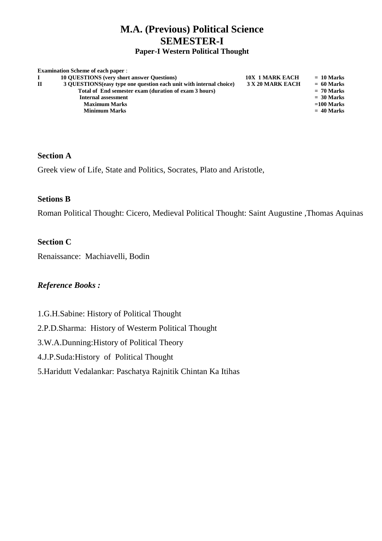# **M.A. (Previous) Political Science SEMESTER-I**

#### **Paper-I Western Political Thought**

|              | <b>Examination Scheme of each paper:</b>                            |                        |              |
|--------------|---------------------------------------------------------------------|------------------------|--------------|
|              | <b>10 OUESTIONS</b> (very short answer Ouestions)                   | <b>10X 1 MARK EACH</b> | $= 10$ Marks |
| $\mathbf{H}$ | 3 OUESTIONS (easy type one question each unit with internal choice) | 3 X 20 MARK EACH       | $= 60$ Marks |
|              | Total of End semester exam (duration of exam 3 hours)               |                        | $= 70$ Marks |
|              | <b>Internal assessment</b>                                          |                        | $= 30$ Marks |
|              | <b>Maximum Marks</b>                                                |                        | $=100$ Marks |
|              | <b>Minimum Marks</b>                                                |                        | $= 40$ Marks |
|              |                                                                     |                        |              |

#### **Section A**

Greek view of Life, State and Politics, Socrates, Plato and Aristotle,

#### **Setions B**

Roman Political Thought: Cicero, Medieval Political Thought: Saint Augustine ,Thomas Aquinas

#### **Section C**

Renaissance: Machiavelli, Bodin

- 1.G.H.Sabine: History of Political Thought
- 2.P.D.Sharma: History of Westerm Political Thought
- 3.W.A.Dunning:History of Political Theory
- 4.J.P.Suda:History of Political Thought
- 5.Haridutt Vedalankar: Paschatya Rajnitik Chintan Ka Itihas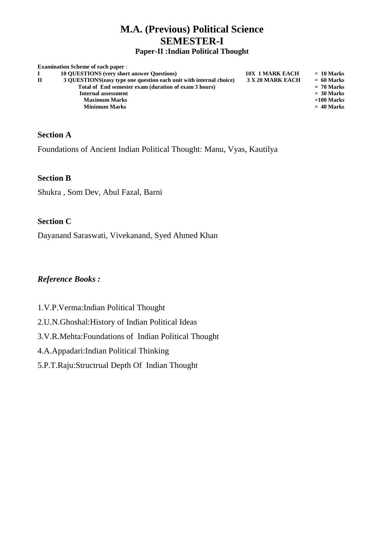# **M.A. (Previous) Political Science SEMESTER-I**

#### **Paper-II :Indian Political Thought**

|   | <b>Examination Scheme of each paper:</b>                            |                        |              |
|---|---------------------------------------------------------------------|------------------------|--------------|
|   | <b>10 OUESTIONS</b> (very short answer Ouestions)                   | <b>10X 1 MARK EACH</b> | $= 10$ Marks |
| П | 3 OUESTIONS (easy type one question each unit with internal choice) | 3 X 20 MARK EACH       | $= 60$ Marks |
|   | Total of End semester exam (duration of exam 3 hours)               |                        | $= 70$ Marks |
|   | Internal assessment                                                 |                        | $= 30$ Marks |
|   | <b>Maximum Marks</b>                                                |                        | $=100$ Marks |
|   | <b>Minimum Marks</b>                                                |                        | $= 40$ Marks |
|   |                                                                     |                        |              |

#### **Section A**

Foundations of Ancient Indian Political Thought: Manu, Vyas, Kautilya

#### **Section B**

Shukra , Som Dev, Abul Fazal, Barni

#### **Section C**

Dayanand Saraswati, Vivekanand, Syed Ahmed Khan

- 1.V.P.Verma:Indian Political Thought
- 2.U.N.Ghoshal:History of Indian Political Ideas
- 3.V.R.Mehta:Foundations of Indian Political Thought
- 4.A.Appadari:Indian Political Thinking
- 5.P.T.Raju:Structrual Depth Of Indian Thought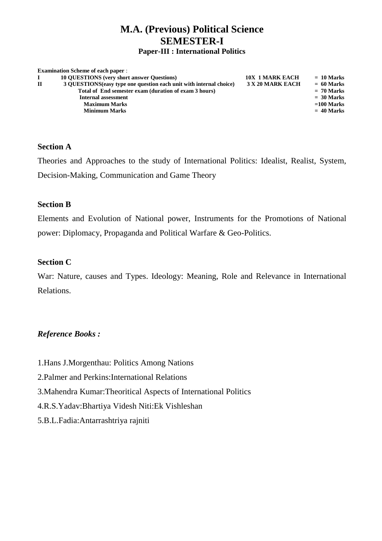### **M.A. (Previous) Political Science SEMESTER-I Paper-III : International Politics**

|   | <b>Examination Scheme of each paper:</b>                            |                        |              |
|---|---------------------------------------------------------------------|------------------------|--------------|
|   | <b>10 OUESTIONS</b> (very short answer Questions)                   | <b>10X 1 MARK EACH</b> | $= 10$ Marks |
| П | 3 QUESTIONS (easy type one question each unit with internal choice) | 3 X 20 MARK EACH       | $= 60$ Marks |
|   | Total of End semester exam (duration of exam 3 hours)               |                        | $= 70$ Marks |
|   | <b>Internal assessment</b>                                          |                        | $= 30$ Marks |
|   | <b>Maximum Marks</b>                                                |                        | $=100$ Marks |
|   | <b>Minimum Marks</b>                                                |                        | $= 40$ Marks |
|   |                                                                     |                        |              |

#### **Section A**

Theories and Approaches to the study of International Politics: Idealist, Realist, System, Decision-Making, Communication and Game Theory

#### **Section B**

Elements and Evolution of National power, Instruments for the Promotions of National power: Diplomacy, Propaganda and Political Warfare & Geo-Politics.

#### **Section C**

War: Nature, causes and Types. Ideology: Meaning, Role and Relevance in International Relations.

- 1.Hans J.Morgenthau: Politics Among Nations
- 2.Palmer and Perkins:International Relations
- 3.Mahendra Kumar:Theoritical Aspects of International Politics
- 4.R.S.Yadav:Bhartiya Videsh Niti:Ek Vishleshan
- 5.B.L.Fadia:Antarrashtriya rajniti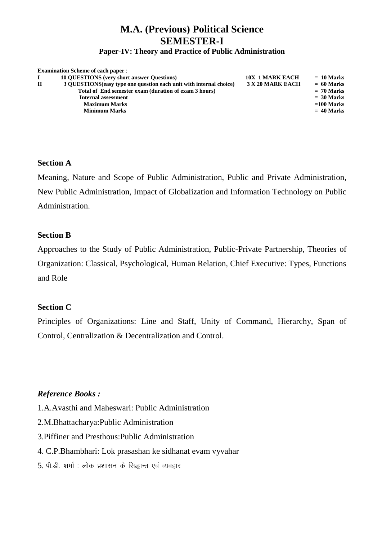### **M.A. (Previous) Political Science SEMESTER-I Paper-IV: Theory and Practice of Public Administration**

#### **Examination Scheme of each paper** : **I 10 QUESTIONS (very short answer Questions)** 10X 1 MARK EACH = 10 Marks<br> **II** 3 QUESTIONS (easy type one question each unit with internal choice) 3 X 20 MARK EACH = 60 Marks **II 3 QUESTIONS(easy type one question each unit with internal choice) 3 X 20 MARK EACH = 60 Marks Total of End semester exam (duration of exam 3 hours) = 70 Marks Internal assessment**  $=$  30 Marks Maximum Marks **and Series and Series and Series and Series and Series and Series and Series and Series and Series and Series and Series and Series and Series and Series and Series and Series and Series and Series and Serie Minimum Marks = 40 Marks**

#### **Section A**

Meaning, Nature and Scope of Public Administration, Public and Private Administration, New Public Administration, Impact of Globalization and Information Technology on Public Administration.

#### **Section B**

Approaches to the Study of Public Administration, Public-Private Partnership, Theories of Organization: Classical, Psychological, Human Relation, Chief Executive: Types, Functions and Role

#### **Section C**

Principles of Organizations: Line and Staff, Unity of Command, Hierarchy, Span of Control, Centralization & Decentralization and Control.

### *Reference Books :*

1.A.Avasthi and Maheswari: Public Administration

- 2.M.Bhattacharya:Public Administration
- 3.Piffiner and Presthous:Public Administration
- 4. C.P.Bhambhari: Lok prasashan ke sidhanat evam vyvahar
- $5.$  पी.डी. शर्मा : लोक प्रशासन के सिद्धान्त एवं व्यवहार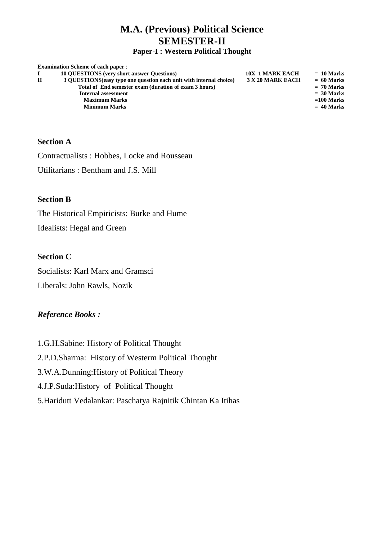## **M.A. (Previous) Political Science SEMESTER-II**

**Paper-I : Western Political Thought**

|              | <b>Examination Scheme of each paper:</b>                            |                        |              |
|--------------|---------------------------------------------------------------------|------------------------|--------------|
|              | <b>10 QUESTIONS</b> (very short answer Questions)                   | <b>10X 1 MARK EACH</b> | $= 10$ Marks |
| $\mathbf{H}$ | 3 QUESTIONS (easy type one question each unit with internal choice) | 3 X 20 MARK EACH       | $= 60$ Marks |
|              | Total of End semester exam (duration of exam 3 hours)               |                        | $= 70$ Marks |
|              | Internal assessment                                                 |                        | $= 30$ Marks |
|              | <b>Maximum Marks</b>                                                |                        | $=100$ Marks |
|              | <b>Minimum Marks</b>                                                |                        | $= 40$ Marks |
|              |                                                                     |                        |              |

#### **Section A**

Contractualists : Hobbes, Locke and Rousseau

Utilitarians : Bentham and J.S. Mill

#### **Section B**

The Historical Empiricists: Burke and Hume Idealists: Hegal and Green

#### **Section C**

Socialists: Karl Marx and Gramsci Liberals: John Rawls, Nozik

### *Reference Books :*

1.G.H.Sabine: History of Political Thought 2.P.D.Sharma: History of Westerm Political Thought 3.W.A.Dunning:History of Political Theory 4.J.P.Suda:History of Political Thought 5.Haridutt Vedalankar: Paschatya Rajnitik Chintan Ka Itihas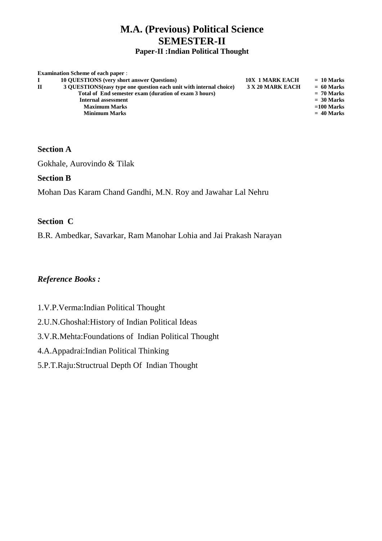# **M.A. (Previous) Political Science SEMESTER-II**

**Paper-II :Indian Political Thought**

|              | <b>Examination Scheme of each paper:</b>                            |                        |              |
|--------------|---------------------------------------------------------------------|------------------------|--------------|
|              | <b>10 QUESTIONS</b> (very short answer Questions)                   | <b>10X 1 MARK EACH</b> | $= 10$ Marks |
| $\mathbf{H}$ | 3 QUESTIONS (easy type one question each unit with internal choice) | 3 X 20 MARK EACH       | $= 60$ Marks |
|              | Total of End semester exam (duration of exam 3 hours)               |                        | $= 70$ Marks |
|              | Internal assessment                                                 |                        | $= 30$ Marks |
|              | <b>Maximum Marks</b>                                                |                        | $=100$ Marks |
|              | <b>Minimum Marks</b>                                                |                        | $= 40$ Marks |
|              |                                                                     |                        |              |

#### **Section A**

Gokhale, Aurovindo & Tilak

#### **Section B**

Mohan Das Karam Chand Gandhi, M.N. Roy and Jawahar Lal Nehru

#### **Section C**

B.R. Ambedkar, Savarkar, Ram Manohar Lohia and Jai Prakash Narayan

- 1.V.P.Verma:Indian Political Thought
- 2.U.N.Ghoshal:History of Indian Political Ideas
- 3.V.R.Mehta:Foundations of Indian Political Thought
- 4.A.Appadrai:Indian Political Thinking
- 5.P.T.Raju:Structrual Depth Of Indian Thought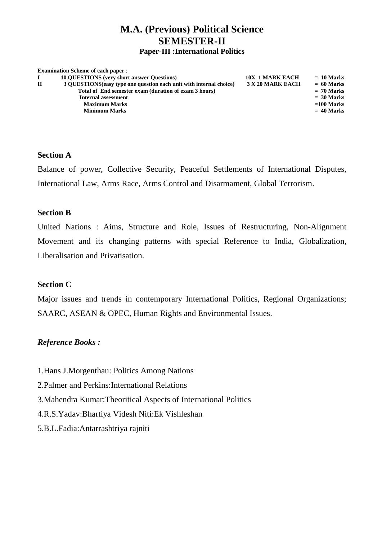### **M.A. (Previous) Political Science SEMESTER-II Paper-III :International Politics**

|   | <b>Examination Scheme of each paper:</b>                            |                        |              |
|---|---------------------------------------------------------------------|------------------------|--------------|
|   | <b>10 OUESTIONS</b> (very short answer Questions)                   | <b>10X 1 MARK EACH</b> | $= 10$ Marks |
| П | 3 OUESTIONS (easy type one question each unit with internal choice) | 3 X 20 MARK EACH       | $= 60$ Marks |
|   | Total of End semester exam (duration of exam 3 hours)               |                        | $= 70$ Marks |
|   | <b>Internal assessment</b>                                          |                        | $= 30$ Marks |
|   | <b>Maximum Marks</b>                                                |                        | $=100$ Marks |
|   | <b>Minimum Marks</b>                                                |                        | $= 40$ Marks |
|   |                                                                     |                        |              |

#### **Section A**

Balance of power, Collective Security, Peaceful Settlements of International Disputes, International Law, Arms Race, Arms Control and Disarmament, Global Terrorism.

#### **Section B**

United Nations : Aims, Structure and Role, Issues of Restructuring, Non-Alignment Movement and its changing patterns with special Reference to India, Globalization, Liberalisation and Privatisation.

#### **Section C**

Major issues and trends in contemporary International Politics, Regional Organizations; SAARC, ASEAN & OPEC, Human Rights and Environmental Issues.

- 1.Hans J.Morgenthau: Politics Among Nations
- 2.Palmer and Perkins:International Relations
- 3.Mahendra Kumar:Theoritical Aspects of International Politics
- 4.R.S.Yadav:Bhartiya Videsh Niti:Ek Vishleshan
- 5.B.L.Fadia:Antarrashtriya rajniti